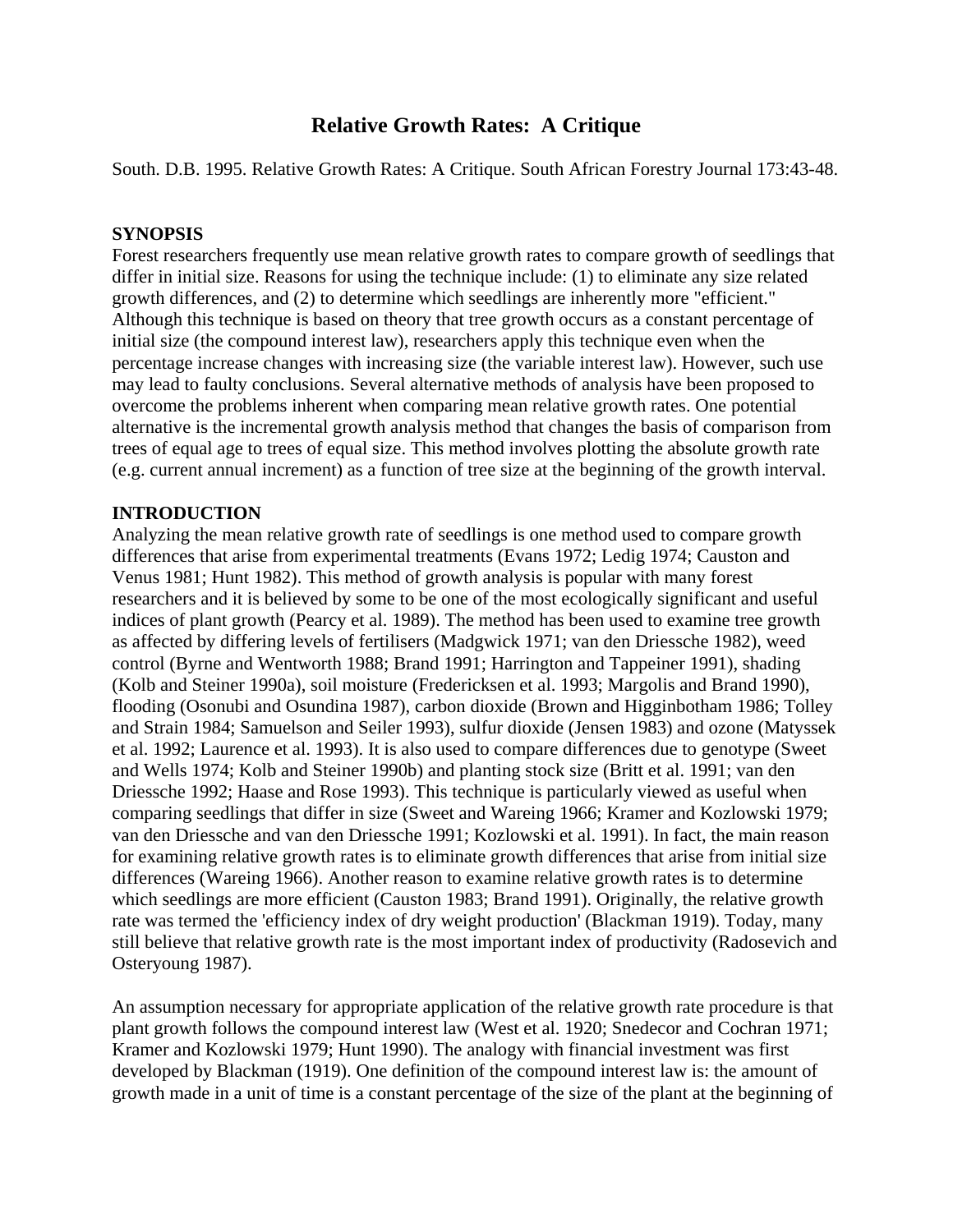# **Relative Growth Rates: A Critique**

South. D.B. 1995. Relative Growth Rates: A Critique. South African Forestry Journal 173:43-48.

## **SYNOPSIS**

Forest researchers frequently use mean relative growth rates to compare growth of seedlings that differ in initial size. Reasons for using the technique include: (1) to eliminate any size related growth differences, and (2) to determine which seedlings are inherently more "efficient." Although this technique is based on theory that tree growth occurs as a constant percentage of initial size (the compound interest law), researchers apply this technique even when the percentage increase changes with increasing size (the variable interest law). However, such use may lead to faulty conclusions. Several alternative methods of analysis have been proposed to overcome the problems inherent when comparing mean relative growth rates. One potential alternative is the incremental growth analysis method that changes the basis of comparison from trees of equal age to trees of equal size. This method involves plotting the absolute growth rate (e.g. current annual increment) as a function of tree size at the beginning of the growth interval.

# **INTRODUCTION**

Analyzing the mean relative growth rate of seedlings is one method used to compare growth differences that arise from experimental treatments (Evans 1972; Ledig 1974; Causton and Venus 1981; Hunt 1982). This method of growth analysis is popular with many forest researchers and it is believed by some to be one of the most ecologically significant and useful indices of plant growth (Pearcy et al. 1989). The method has been used to examine tree growth as affected by differing levels of fertilisers (Madgwick 1971; van den Driessche 1982), weed control (Byrne and Wentworth 1988; Brand 1991; Harrington and Tappeiner 1991), shading (Kolb and Steiner 1990a), soil moisture (Fredericksen et al. 1993; Margolis and Brand 1990), flooding (Osonubi and Osundina 1987), carbon dioxide (Brown and Higginbotham 1986; Tolley and Strain 1984; Samuelson and Seiler 1993), sulfur dioxide (Jensen 1983) and ozone (Matyssek et al. 1992; Laurence et al. 1993). It is also used to compare differences due to genotype (Sweet and Wells 1974; Kolb and Steiner 1990b) and planting stock size (Britt et al. 1991; van den Driessche 1992; Haase and Rose 1993). This technique is particularly viewed as useful when comparing seedlings that differ in size (Sweet and Wareing 1966; Kramer and Kozlowski 1979; van den Driessche and van den Driessche 1991; Kozlowski et al. 1991). In fact, the main reason for examining relative growth rates is to eliminate growth differences that arise from initial size differences (Wareing 1966). Another reason to examine relative growth rates is to determine which seedlings are more efficient (Causton 1983; Brand 1991). Originally, the relative growth rate was termed the 'efficiency index of dry weight production' (Blackman 1919). Today, many still believe that relative growth rate is the most important index of productivity (Radosevich and Osteryoung 1987).

An assumption necessary for appropriate application of the relative growth rate procedure is that plant growth follows the compound interest law (West et al. 1920; Snedecor and Cochran 1971; Kramer and Kozlowski 1979; Hunt 1990). The analogy with financial investment was first developed by Blackman (1919). One definition of the compound interest law is: the amount of growth made in a unit of time is a constant percentage of the size of the plant at the beginning of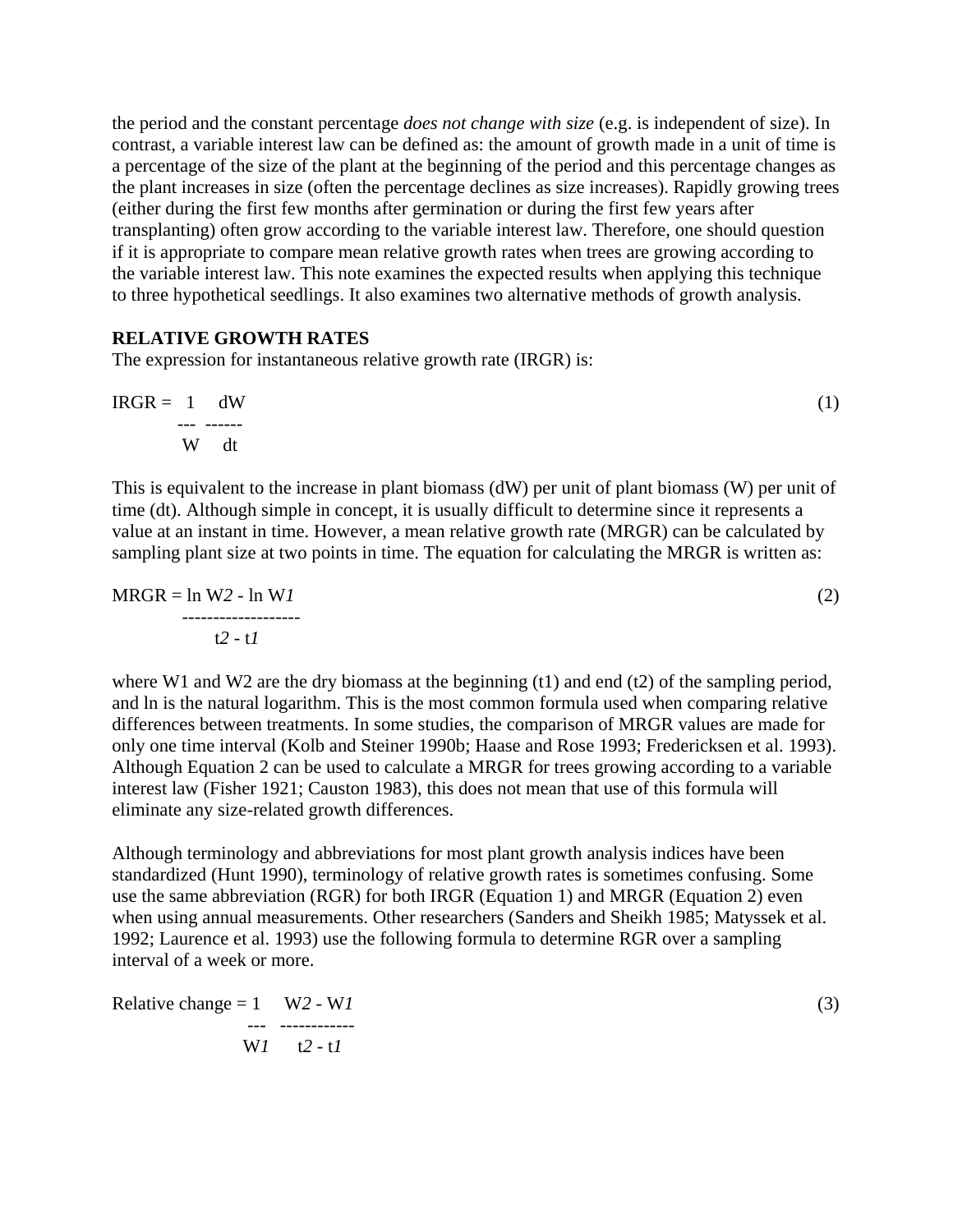the period and the constant percentage *does not change with size* (e.g. is independent of size). In contrast, a variable interest law can be defined as: the amount of growth made in a unit of time is a percentage of the size of the plant at the beginning of the period and this percentage changes as the plant increases in size (often the percentage declines as size increases). Rapidly growing trees (either during the first few months after germination or during the first few years after transplanting) often grow according to the variable interest law. Therefore, one should question if it is appropriate to compare mean relative growth rates when trees are growing according to the variable interest law. This note examines the expected results when applying this technique to three hypothetical seedlings. It also examines two alternative methods of growth analysis.

## **RELATIVE GROWTH RATES**

The expression for instantaneous relative growth rate (IRGR) is:

$$
IRGR = 1 \quad dW
$$
  
... ...  
W  $dt$  (1)

This is equivalent to the increase in plant biomass (dW) per unit of plant biomass (W) per unit of time (dt). Although simple in concept, it is usually difficult to determine since it represents a value at an instant in time. However, a mean relative growth rate (MRGR) can be calculated by sampling plant size at two points in time. The equation for calculating the MRGR is written as:

$$
MRGR = \ln W2 - \ln W1
$$
 (2)  
12 - t1

where W1 and W2 are the dry biomass at the beginning (t1) and end (t2) of the sampling period, and ln is the natural logarithm. This is the most common formula used when comparing relative differences between treatments. In some studies, the comparison of MRGR values are made for only one time interval (Kolb and Steiner 1990b; Haase and Rose 1993; Fredericksen et al. 1993). Although Equation 2 can be used to calculate a MRGR for trees growing according to a variable interest law (Fisher 1921; Causton 1983), this does not mean that use of this formula will eliminate any size-related growth differences.

Although terminology and abbreviations for most plant growth analysis indices have been standardized (Hunt 1990), terminology of relative growth rates is sometimes confusing. Some use the same abbreviation (RGR) for both IRGR (Equation 1) and MRGR (Equation 2) even when using annual measurements. Other researchers (Sanders and Sheikh 1985; Matyssek et al. 1992; Laurence et al. 1993) use the following formula to determine RGR over a sampling interval of a week or more.

Relative change = 1 
$$
W2 - W1
$$
  
\n...   
\n $W1 \t 2 - t1$  (3)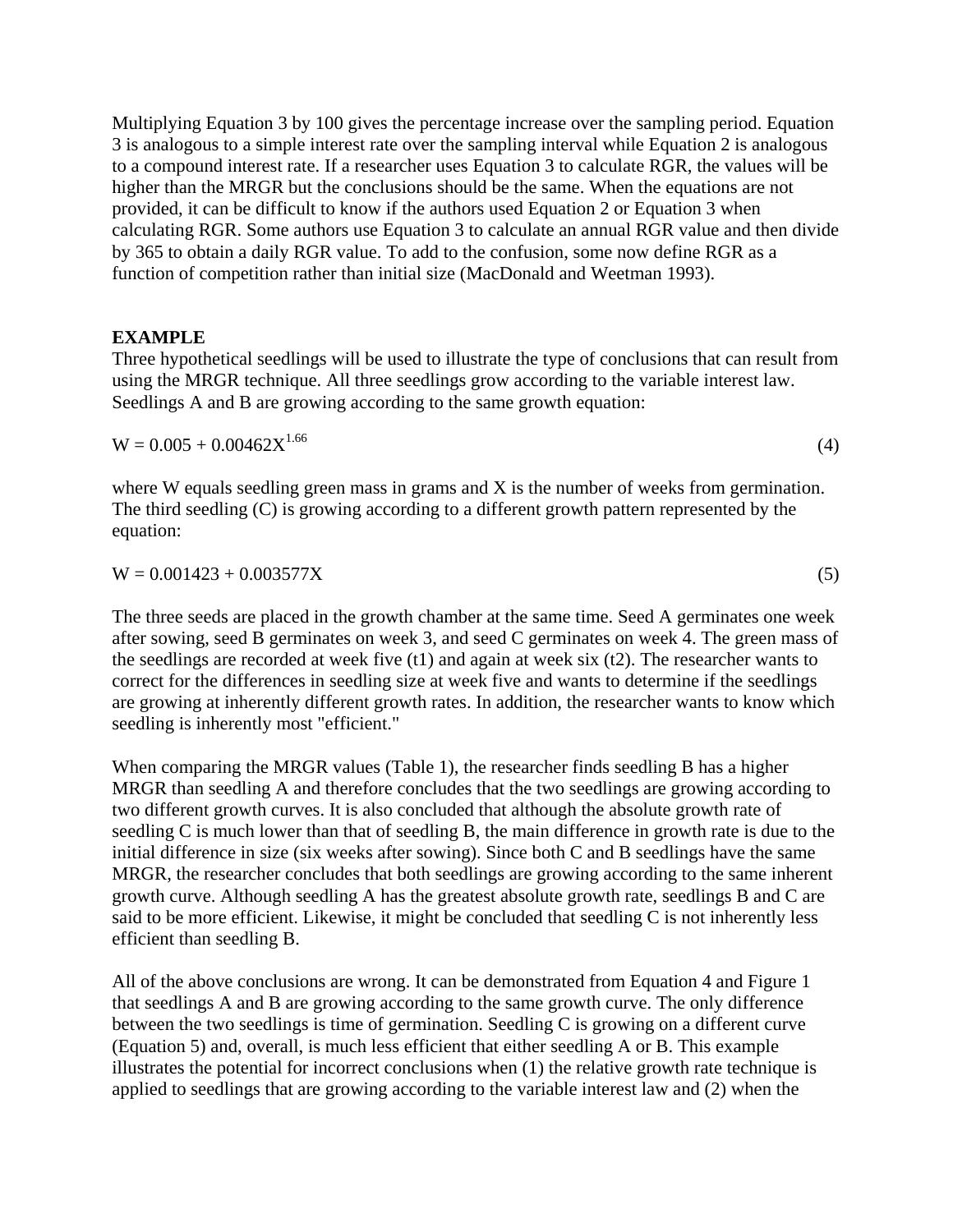Multiplying Equation 3 by 100 gives the percentage increase over the sampling period. Equation 3 is analogous to a simple interest rate over the sampling interval while Equation 2 is analogous to a compound interest rate. If a researcher uses Equation 3 to calculate RGR, the values will be higher than the MRGR but the conclusions should be the same. When the equations are not provided, it can be difficult to know if the authors used Equation 2 or Equation 3 when calculating RGR. Some authors use Equation 3 to calculate an annual RGR value and then divide by 365 to obtain a daily RGR value. To add to the confusion, some now define RGR as a function of competition rather than initial size (MacDonald and Weetman 1993).

## **EXAMPLE**

Three hypothetical seedlings will be used to illustrate the type of conclusions that can result from using the MRGR technique. All three seedlings grow according to the variable interest law. Seedlings A and B are growing according to the same growth equation:

 $W = 0.005 + 0.00462X^{1.66}$  (4)

where W equals seedling green mass in grams and X is the number of weeks from germination. The third seedling (C) is growing according to a different growth pattern represented by the equation:

 $W = 0.001423 + 0.003577X$  (5)

The three seeds are placed in the growth chamber at the same time. Seed A germinates one week after sowing, seed B germinates on week 3, and seed C germinates on week 4. The green mass of the seedlings are recorded at week five (t1) and again at week six (t2). The researcher wants to correct for the differences in seedling size at week five and wants to determine if the seedlings are growing at inherently different growth rates. In addition, the researcher wants to know which seedling is inherently most "efficient."

When comparing the MRGR values (Table 1), the researcher finds seedling B has a higher MRGR than seedling A and therefore concludes that the two seedlings are growing according to two different growth curves. It is also concluded that although the absolute growth rate of seedling C is much lower than that of seedling B, the main difference in growth rate is due to the initial difference in size (six weeks after sowing). Since both C and B seedlings have the same MRGR, the researcher concludes that both seedlings are growing according to the same inherent growth curve. Although seedling A has the greatest absolute growth rate, seedlings B and C are said to be more efficient. Likewise, it might be concluded that seedling C is not inherently less efficient than seedling B.

All of the above conclusions are wrong. It can be demonstrated from Equation 4 and Figure 1 that seedlings A and B are growing according to the same growth curve. The only difference between the two seedlings is time of germination. Seedling C is growing on a different curve (Equation 5) and, overall, is much less efficient that either seedling A or B. This example illustrates the potential for incorrect conclusions when (1) the relative growth rate technique is applied to seedlings that are growing according to the variable interest law and (2) when the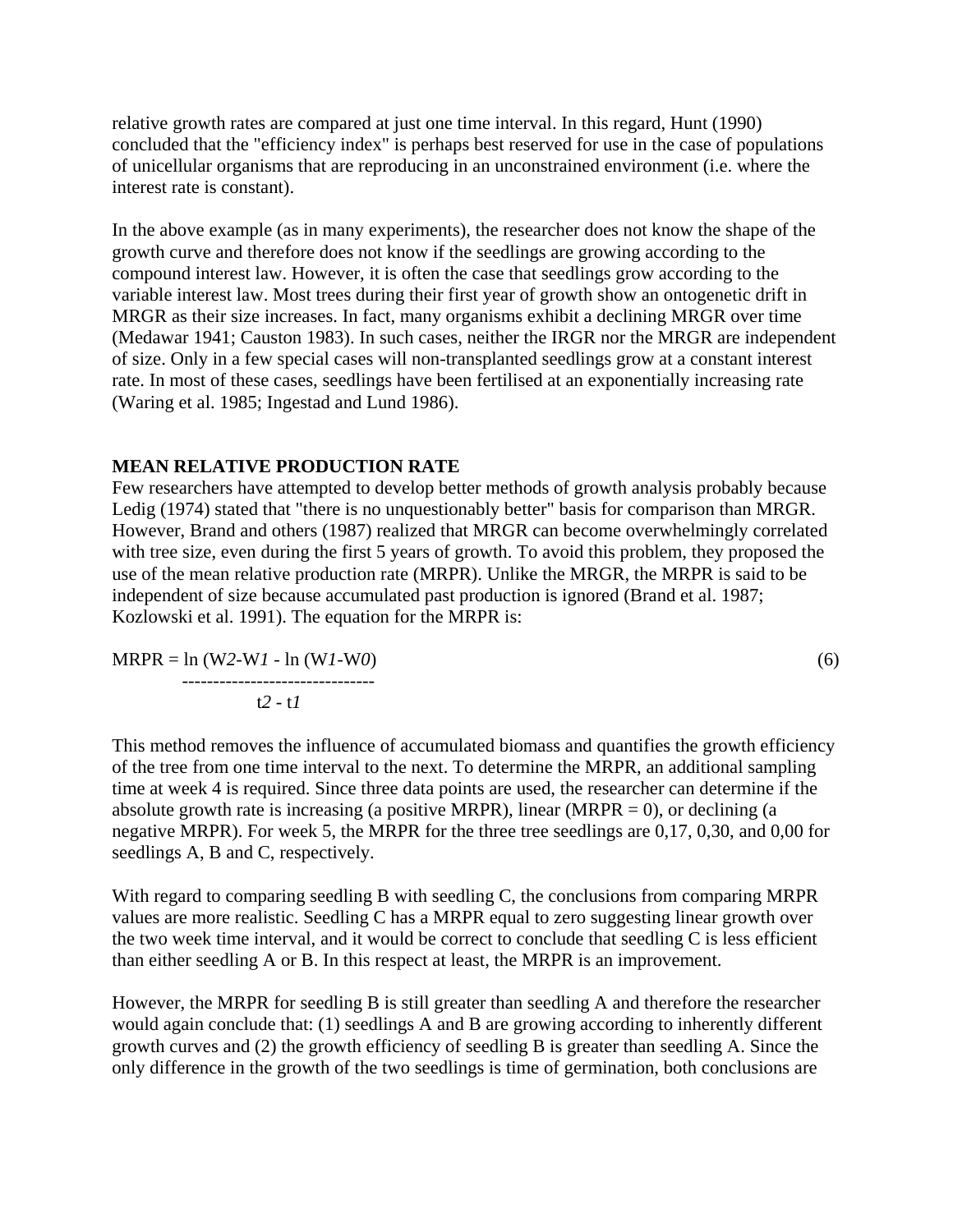relative growth rates are compared at just one time interval. In this regard, Hunt (1990) concluded that the "efficiency index" is perhaps best reserved for use in the case of populations of unicellular organisms that are reproducing in an unconstrained environment (i.e. where the interest rate is constant).

In the above example (as in many experiments), the researcher does not know the shape of the growth curve and therefore does not know if the seedlings are growing according to the compound interest law. However, it is often the case that seedlings grow according to the variable interest law. Most trees during their first year of growth show an ontogenetic drift in MRGR as their size increases. In fact, many organisms exhibit a declining MRGR over time (Medawar 1941; Causton 1983). In such cases, neither the IRGR nor the MRGR are independent of size. Only in a few special cases will non-transplanted seedlings grow at a constant interest rate. In most of these cases, seedlings have been fertilised at an exponentially increasing rate (Waring et al. 1985; Ingestad and Lund 1986).

## **MEAN RELATIVE PRODUCTION RATE**

Few researchers have attempted to develop better methods of growth analysis probably because Ledig (1974) stated that "there is no unquestionably better" basis for comparison than MRGR. However, Brand and others (1987) realized that MRGR can become overwhelmingly correlated with tree size, even during the first 5 years of growth. To avoid this problem, they proposed the use of the mean relative production rate (MRPR). Unlike the MRGR, the MRPR is said to be independent of size because accumulated past production is ignored (Brand et al. 1987; Kozlowski et al. 1991). The equation for the MRPR is:

MRPR = ln (W*2*-W*1* - ln (W*1*-W*0*) (6) ------------------------------ t*2* - t*1*

This method removes the influence of accumulated biomass and quantifies the growth efficiency of the tree from one time interval to the next. To determine the MRPR, an additional sampling time at week 4 is required. Since three data points are used, the researcher can determine if the absolute growth rate is increasing (a positive MRPR), linear (MRPR = 0), or declining (a negative MRPR). For week 5, the MRPR for the three tree seedlings are 0,17, 0,30, and 0,00 for seedlings A, B and C, respectively.

With regard to comparing seedling B with seedling C, the conclusions from comparing MRPR values are more realistic. Seedling C has a MRPR equal to zero suggesting linear growth over the two week time interval, and it would be correct to conclude that seedling C is less efficient than either seedling A or B. In this respect at least, the MRPR is an improvement.

However, the MRPR for seedling B is still greater than seedling A and therefore the researcher would again conclude that: (1) seedlings A and B are growing according to inherently different growth curves and (2) the growth efficiency of seedling B is greater than seedling A. Since the only difference in the growth of the two seedlings is time of germination, both conclusions are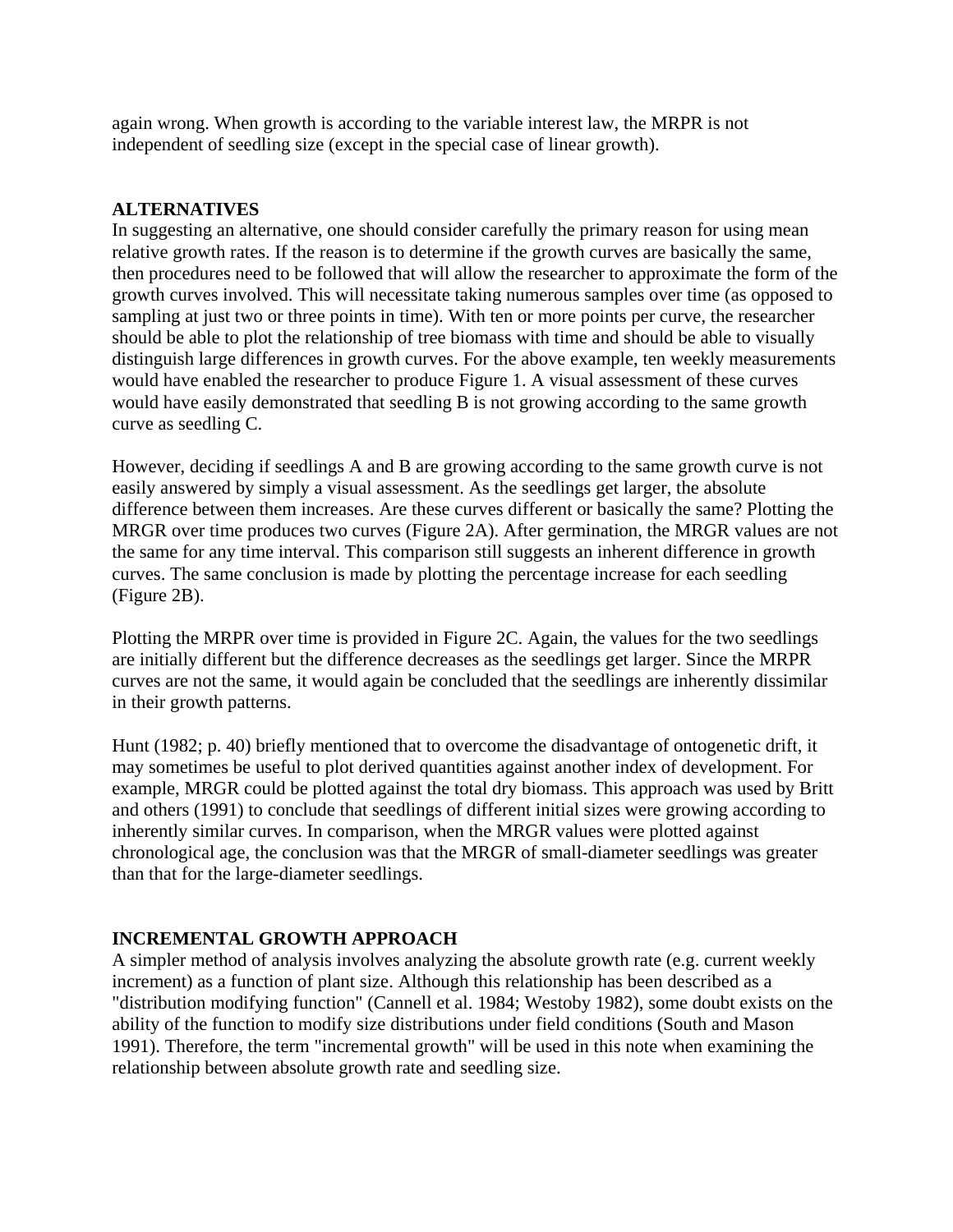again wrong. When growth is according to the variable interest law, the MRPR is not independent of seedling size (except in the special case of linear growth).

# **ALTERNATIVES**

In suggesting an alternative, one should consider carefully the primary reason for using mean relative growth rates. If the reason is to determine if the growth curves are basically the same, then procedures need to be followed that will allow the researcher to approximate the form of the growth curves involved. This will necessitate taking numerous samples over time (as opposed to sampling at just two or three points in time). With ten or more points per curve, the researcher should be able to plot the relationship of tree biomass with time and should be able to visually distinguish large differences in growth curves. For the above example, ten weekly measurements would have enabled the researcher to produce Figure 1. A visual assessment of these curves would have easily demonstrated that seedling B is not growing according to the same growth curve as seedling C.

However, deciding if seedlings A and B are growing according to the same growth curve is not easily answered by simply a visual assessment. As the seedlings get larger, the absolute difference between them increases. Are these curves different or basically the same? Plotting the MRGR over time produces two curves (Figure 2A). After germination, the MRGR values are not the same for any time interval. This comparison still suggests an inherent difference in growth curves. The same conclusion is made by plotting the percentage increase for each seedling (Figure 2B).

Plotting the MRPR over time is provided in Figure 2C. Again, the values for the two seedlings are initially different but the difference decreases as the seedlings get larger. Since the MRPR curves are not the same, it would again be concluded that the seedlings are inherently dissimilar in their growth patterns.

Hunt (1982; p. 40) briefly mentioned that to overcome the disadvantage of ontogenetic drift, it may sometimes be useful to plot derived quantities against another index of development. For example, MRGR could be plotted against the total dry biomass. This approach was used by Britt and others (1991) to conclude that seedlings of different initial sizes were growing according to inherently similar curves. In comparison, when the MRGR values were plotted against chronological age, the conclusion was that the MRGR of small-diameter seedlings was greater than that for the large-diameter seedlings.

# **INCREMENTAL GROWTH APPROACH**

A simpler method of analysis involves analyzing the absolute growth rate (e.g. current weekly increment) as a function of plant size. Although this relationship has been described as a "distribution modifying function" (Cannell et al. 1984; Westoby 1982), some doubt exists on the ability of the function to modify size distributions under field conditions (South and Mason 1991). Therefore, the term "incremental growth" will be used in this note when examining the relationship between absolute growth rate and seedling size.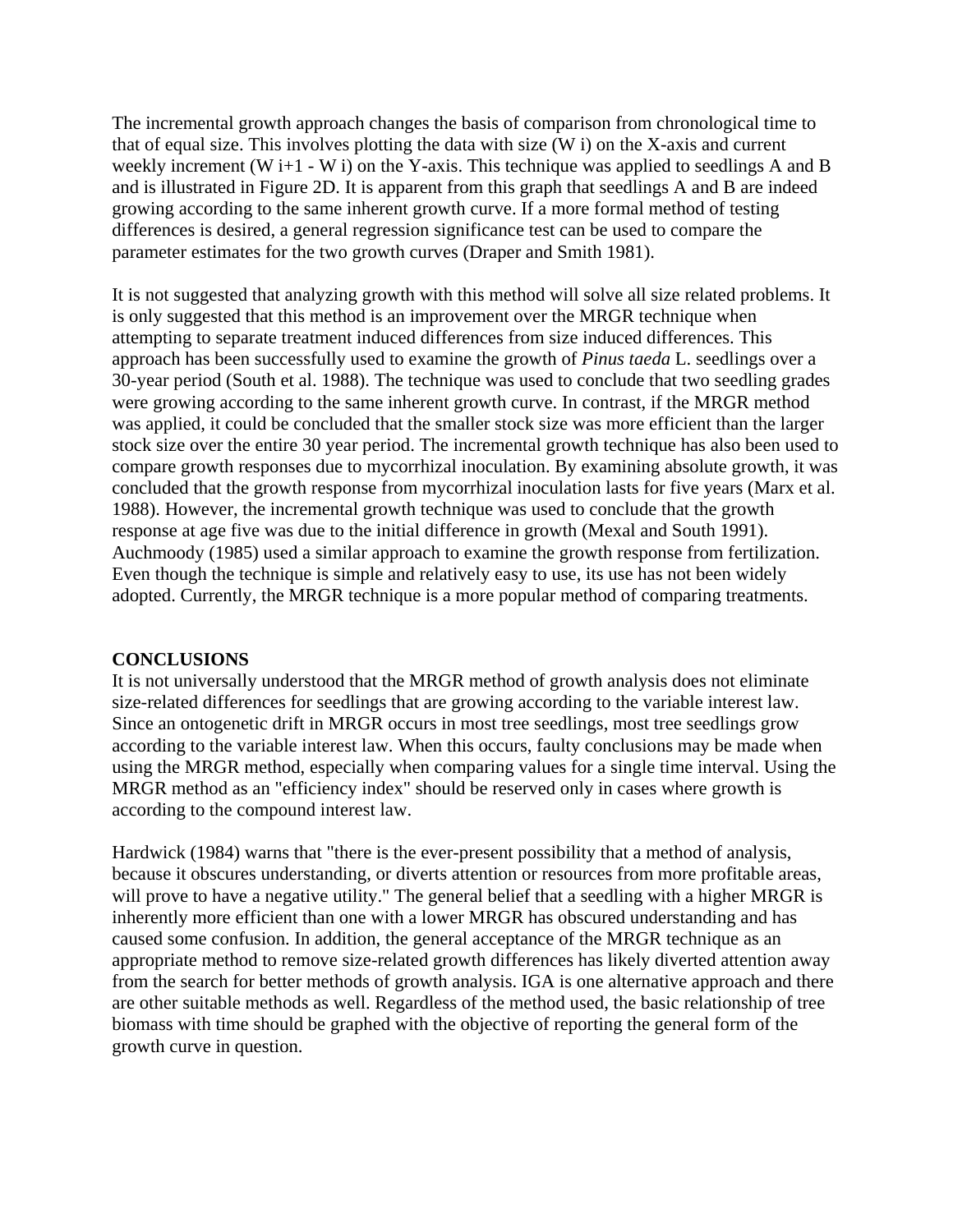The incremental growth approach changes the basis of comparison from chronological time to that of equal size. This involves plotting the data with size (W i) on the X-axis and current weekly increment (W i+1 - W i) on the Y-axis. This technique was applied to seedlings A and B and is illustrated in Figure 2D. It is apparent from this graph that seedlings A and B are indeed growing according to the same inherent growth curve. If a more formal method of testing differences is desired, a general regression significance test can be used to compare the parameter estimates for the two growth curves (Draper and Smith 1981).

It is not suggested that analyzing growth with this method will solve all size related problems. It is only suggested that this method is an improvement over the MRGR technique when attempting to separate treatment induced differences from size induced differences. This approach has been successfully used to examine the growth of *Pinus taeda* L. seedlings over a 30-year period (South et al. 1988). The technique was used to conclude that two seedling grades were growing according to the same inherent growth curve. In contrast, if the MRGR method was applied, it could be concluded that the smaller stock size was more efficient than the larger stock size over the entire 30 year period. The incremental growth technique has also been used to compare growth responses due to mycorrhizal inoculation. By examining absolute growth, it was concluded that the growth response from mycorrhizal inoculation lasts for five years (Marx et al. 1988). However, the incremental growth technique was used to conclude that the growth response at age five was due to the initial difference in growth (Mexal and South 1991). Auchmoody (1985) used a similar approach to examine the growth response from fertilization. Even though the technique is simple and relatively easy to use, its use has not been widely adopted. Currently, the MRGR technique is a more popular method of comparing treatments.

## **CONCLUSIONS**

It is not universally understood that the MRGR method of growth analysis does not eliminate size-related differences for seedlings that are growing according to the variable interest law. Since an ontogenetic drift in MRGR occurs in most tree seedlings, most tree seedlings grow according to the variable interest law. When this occurs, faulty conclusions may be made when using the MRGR method, especially when comparing values for a single time interval. Using the MRGR method as an "efficiency index" should be reserved only in cases where growth is according to the compound interest law.

Hardwick (1984) warns that "there is the ever-present possibility that a method of analysis, because it obscures understanding, or diverts attention or resources from more profitable areas, will prove to have a negative utility." The general belief that a seedling with a higher MRGR is inherently more efficient than one with a lower MRGR has obscured understanding and has caused some confusion. In addition, the general acceptance of the MRGR technique as an appropriate method to remove size-related growth differences has likely diverted attention away from the search for better methods of growth analysis. IGA is one alternative approach and there are other suitable methods as well. Regardless of the method used, the basic relationship of tree biomass with time should be graphed with the objective of reporting the general form of the growth curve in question.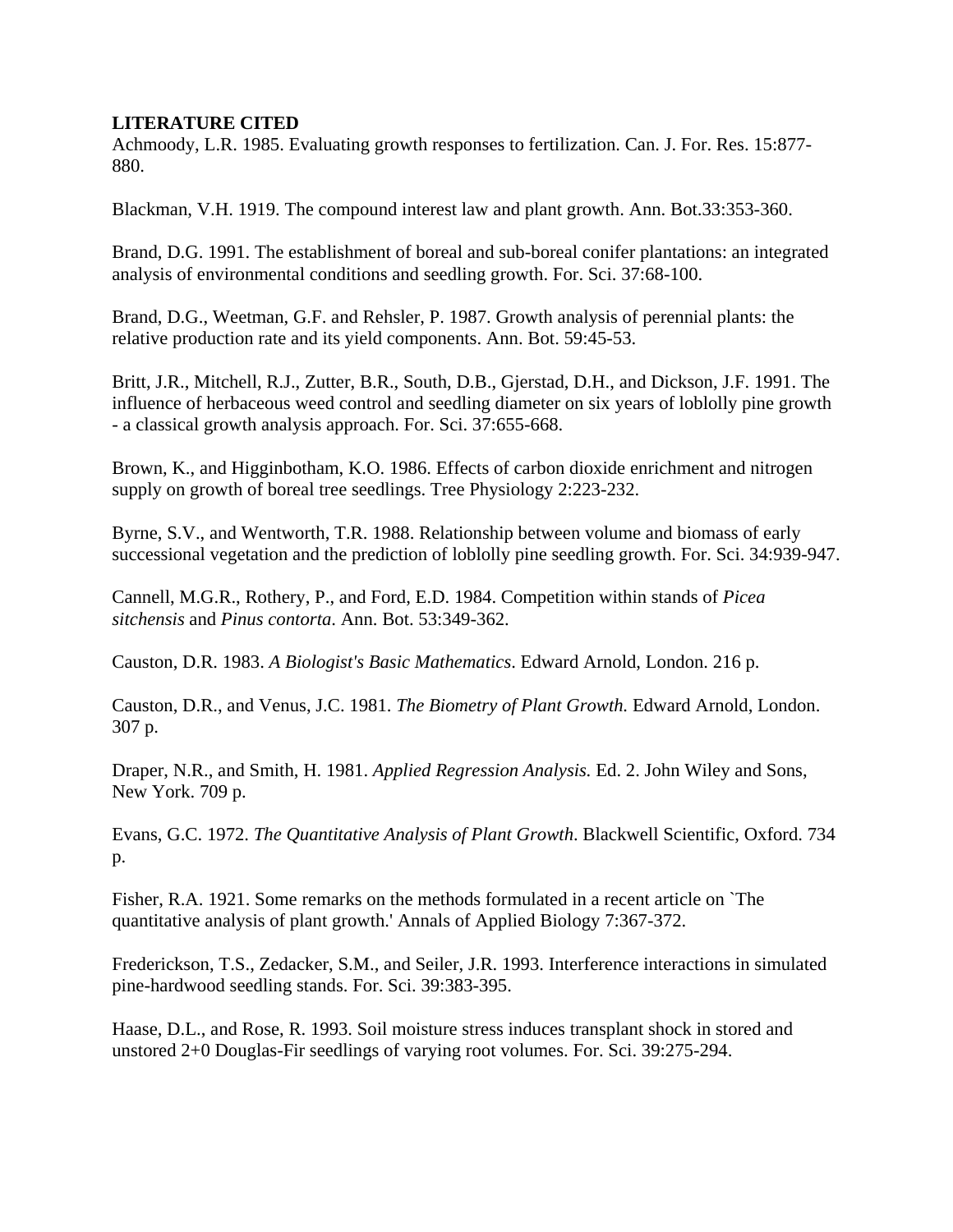## **LITERATURE CITED**

Achmoody, L.R. 1985. Evaluating growth responses to fertilization. Can. J. For. Res. 15:877- 880.

Blackman, V.H. 1919. The compound interest law and plant growth. Ann. Bot.33:353-360.

Brand, D.G. 1991. The establishment of boreal and sub-boreal conifer plantations: an integrated analysis of environmental conditions and seedling growth. For. Sci. 37:68-100.

Brand, D.G., Weetman, G.F. and Rehsler, P. 1987. Growth analysis of perennial plants: the relative production rate and its yield components. Ann. Bot. 59:45-53.

Britt, J.R., Mitchell, R.J., Zutter, B.R., South, D.B., Gjerstad, D.H., and Dickson, J.F. 1991. The influence of herbaceous weed control and seedling diameter on six years of loblolly pine growth - a classical growth analysis approach. For. Sci. 37:655-668.

Brown, K., and Higginbotham, K.O. 1986. Effects of carbon dioxide enrichment and nitrogen supply on growth of boreal tree seedlings. Tree Physiology 2:223-232.

Byrne, S.V., and Wentworth, T.R. 1988. Relationship between volume and biomass of early successional vegetation and the prediction of loblolly pine seedling growth. For. Sci. 34:939-947.

Cannell, M.G.R., Rothery, P., and Ford, E.D. 1984. Competition within stands of *Picea sitchensis* and *Pinus contorta*. Ann. Bot. 53:349-362.

Causton, D.R. 1983. *A Biologist's Basic Mathematics*. Edward Arnold, London. 216 p.

Causton, D.R., and Venus, J.C. 1981. *The Biometry of Plant Growth.* Edward Arnold, London. 307 p.

Draper, N.R., and Smith, H. 1981. *Applied Regression Analysis.* Ed. 2. John Wiley and Sons, New York. 709 p.

Evans, G.C. 1972. *The Quantitative Analysis of Plant Growth*. Blackwell Scientific, Oxford. 734 p.

Fisher, R.A. 1921. Some remarks on the methods formulated in a recent article on `The quantitative analysis of plant growth.' Annals of Applied Biology 7:367-372.

Frederickson, T.S., Zedacker, S.M., and Seiler, J.R. 1993. Interference interactions in simulated pine-hardwood seedling stands. For. Sci. 39:383-395.

Haase, D.L., and Rose, R. 1993. Soil moisture stress induces transplant shock in stored and unstored 2+0 Douglas-Fir seedlings of varying root volumes. For. Sci. 39:275-294.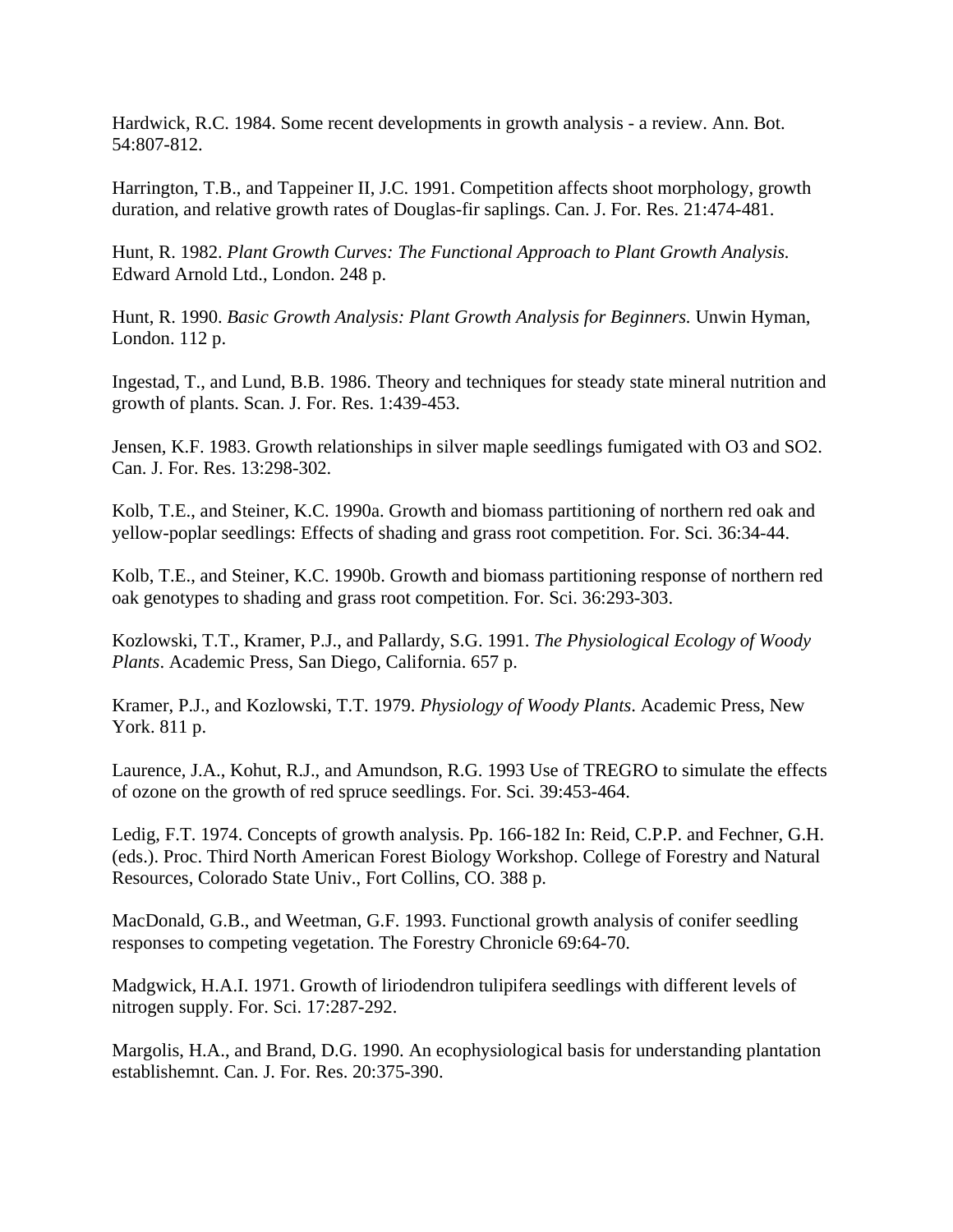Hardwick, R.C. 1984. Some recent developments in growth analysis - a review. Ann. Bot. 54:807-812.

Harrington, T.B., and Tappeiner II, J.C. 1991. Competition affects shoot morphology, growth duration, and relative growth rates of Douglas-fir saplings. Can. J. For. Res. 21:474-481.

Hunt, R. 1982. *Plant Growth Curves: The Functional Approach to Plant Growth Analysis.* Edward Arnold Ltd., London. 248 p.

Hunt, R. 1990. *Basic Growth Analysis: Plant Growth Analysis for Beginners.* Unwin Hyman, London. 112 p.

Ingestad, T., and Lund, B.B. 1986. Theory and techniques for steady state mineral nutrition and growth of plants. Scan. J. For. Res. 1:439-453.

Jensen, K.F. 1983. Growth relationships in silver maple seedlings fumigated with O3 and SO2. Can. J. For. Res. 13:298-302.

Kolb, T.E., and Steiner, K.C. 1990a. Growth and biomass partitioning of northern red oak and yellow-poplar seedlings: Effects of shading and grass root competition. For. Sci. 36:34-44.

Kolb, T.E., and Steiner, K.C. 1990b. Growth and biomass partitioning response of northern red oak genotypes to shading and grass root competition. For. Sci. 36:293-303.

Kozlowski, T.T., Kramer, P.J., and Pallardy, S.G. 1991. *The Physiological Ecology of Woody Plants*. Academic Press, San Diego, California. 657 p.

Kramer, P.J., and Kozlowski, T.T. 1979. *Physiology of Woody Plants*. Academic Press, New York. 811 p.

Laurence, J.A., Kohut, R.J., and Amundson, R.G. 1993 Use of TREGRO to simulate the effects of ozone on the growth of red spruce seedlings. For. Sci. 39:453-464.

Ledig, F.T. 1974. Concepts of growth analysis. Pp. 166-182 In: Reid, C.P.P. and Fechner, G.H. (eds.). Proc. Third North American Forest Biology Workshop. College of Forestry and Natural Resources, Colorado State Univ., Fort Collins, CO. 388 p.

MacDonald, G.B., and Weetman, G.F. 1993. Functional growth analysis of conifer seedling responses to competing vegetation. The Forestry Chronicle 69:64-70.

Madgwick, H.A.I. 1971. Growth of liriodendron tulipifera seedlings with different levels of nitrogen supply. For. Sci. 17:287-292.

Margolis, H.A., and Brand, D.G. 1990. An ecophysiological basis for understanding plantation establishemnt. Can. J. For. Res. 20:375-390.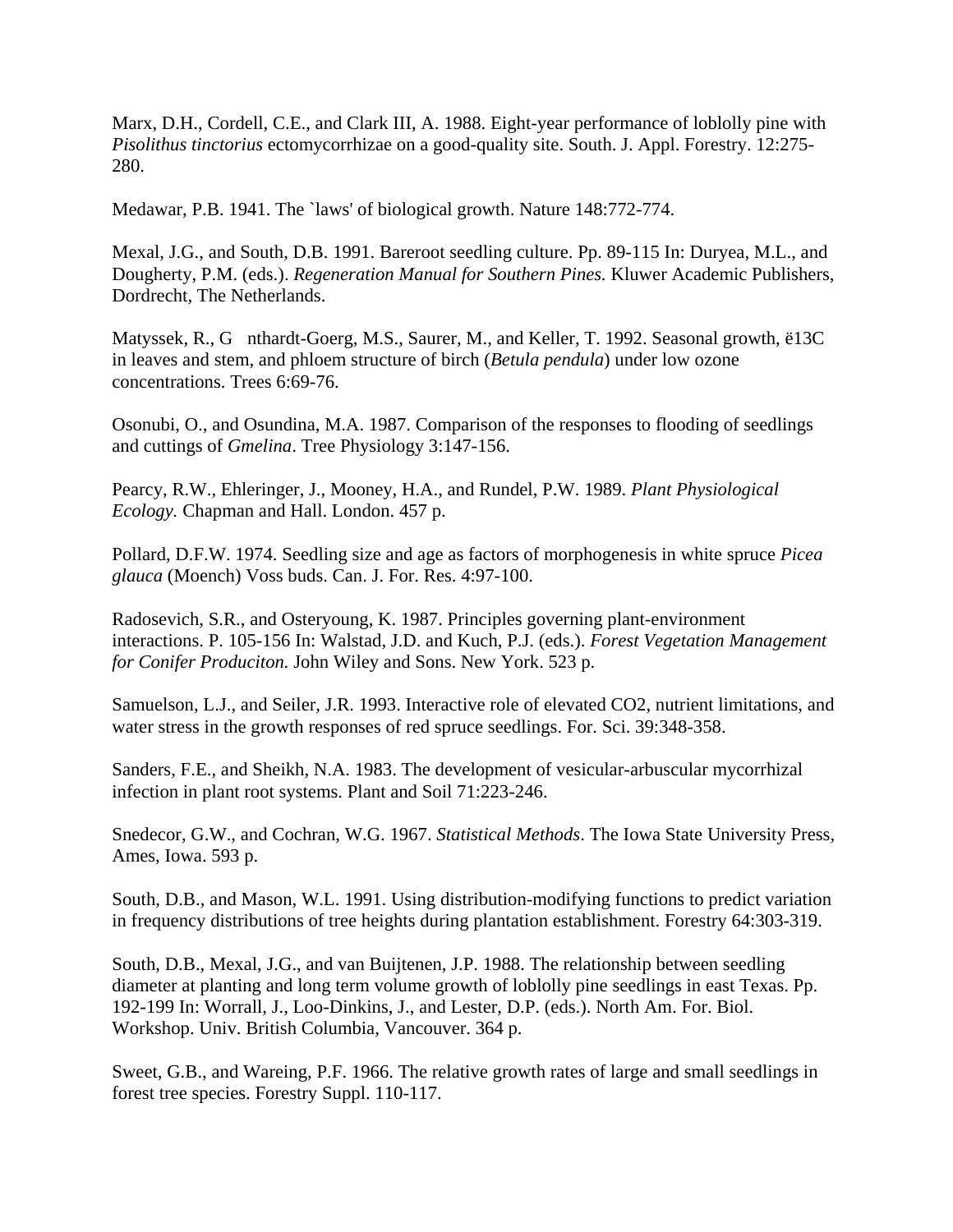Marx, D.H., Cordell, C.E., and Clark III, A. 1988. Eight-year performance of loblolly pine with *Pisolithus tinctorius* ectomycorrhizae on a good-quality site. South. J. Appl. Forestry. 12:275- 280.

Medawar, P.B. 1941. The `laws' of biological growth. Nature 148:772-774.

Mexal, J.G., and South, D.B. 1991. Bareroot seedling culture. Pp. 89-115 In: Duryea, M.L., and Dougherty, P.M. (eds.). *Regeneration Manual for Southern Pines.* Kluwer Academic Publishers, Dordrecht, The Netherlands.

Matyssek, R., G nthardt-Goerg, M.S., Saurer, M., and Keller, T. 1992. Seasonal growth, ë13C in leaves and stem, and phloem structure of birch (*Betula pendula*) under low ozone concentrations. Trees 6:69-76.

Osonubi, O., and Osundina, M.A. 1987. Comparison of the responses to flooding of seedlings and cuttings of *Gmelina*. Tree Physiology 3:147-156.

Pearcy, R.W., Ehleringer, J., Mooney, H.A., and Rundel, P.W. 1989. *Plant Physiological Ecology.* Chapman and Hall. London. 457 p.

Pollard, D.F.W. 1974. Seedling size and age as factors of morphogenesis in white spruce *Picea glauca* (Moench) Voss buds. Can. J. For. Res. 4:97-100.

Radosevich, S.R., and Osteryoung, K. 1987. Principles governing plant-environment interactions. P. 105-156 In: Walstad, J.D. and Kuch, P.J. (eds.). *Forest Vegetation Management for Conifer Produciton.* John Wiley and Sons. New York. 523 p.

Samuelson, L.J., and Seiler, J.R. 1993. Interactive role of elevated CO2, nutrient limitations, and water stress in the growth responses of red spruce seedlings. For. Sci. 39:348-358.

Sanders, F.E., and Sheikh, N.A. 1983. The development of vesicular-arbuscular mycorrhizal infection in plant root systems. Plant and Soil 71:223-246.

Snedecor, G.W., and Cochran, W.G. 1967. *Statistical Methods*. The Iowa State University Press, Ames, Iowa. 593 p.

South, D.B., and Mason, W.L. 1991. Using distribution-modifying functions to predict variation in frequency distributions of tree heights during plantation establishment. Forestry 64:303-319.

South, D.B., Mexal, J.G., and van Buijtenen, J.P. 1988. The relationship between seedling diameter at planting and long term volume growth of loblolly pine seedlings in east Texas. Pp. 192-199 In: Worrall, J., Loo-Dinkins, J., and Lester, D.P. (eds.). North Am. For. Biol. Workshop. Univ. British Columbia, Vancouver. 364 p.

Sweet, G.B., and Wareing, P.F. 1966. The relative growth rates of large and small seedlings in forest tree species. Forestry Suppl. 110-117.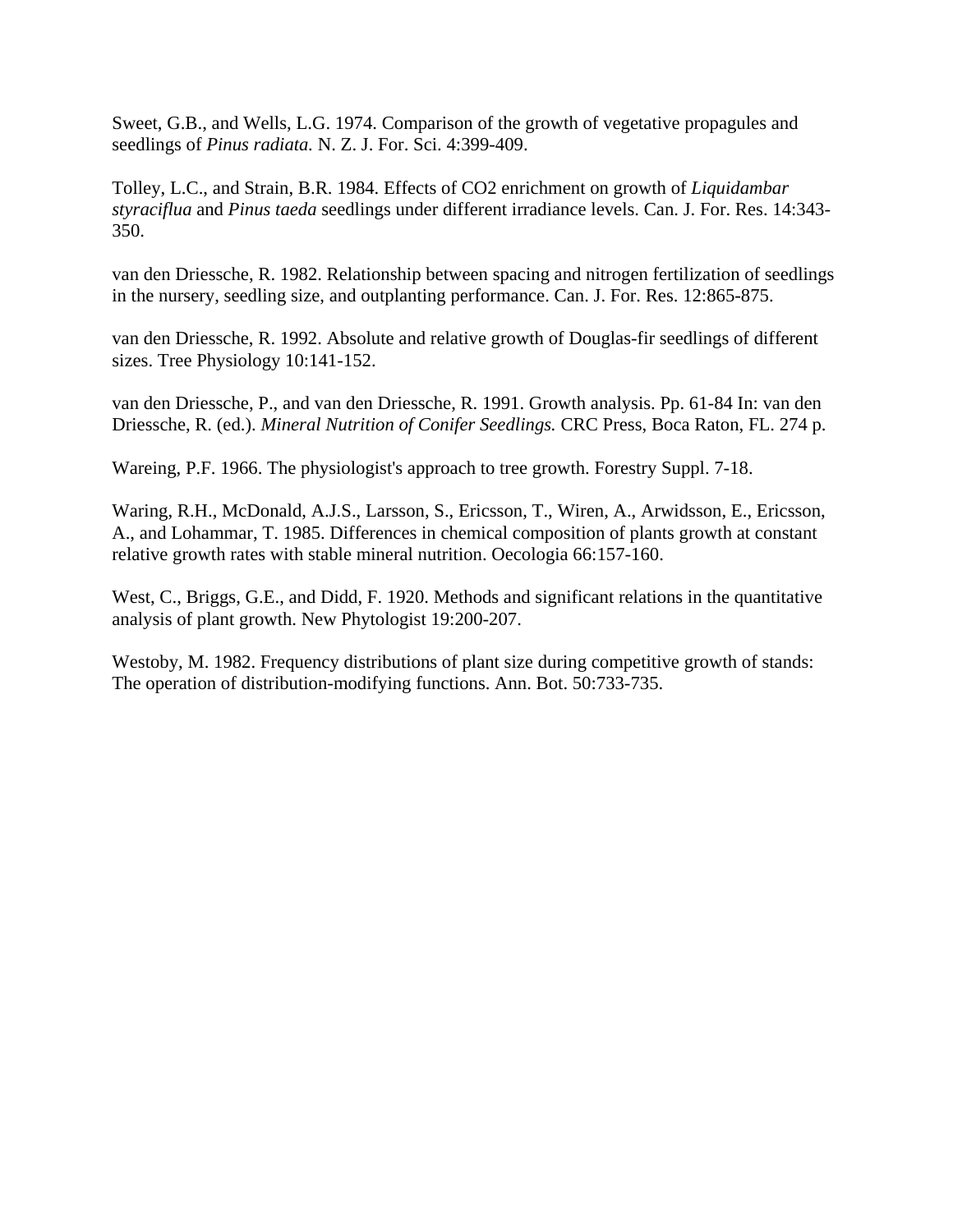Sweet, G.B., and Wells, L.G. 1974. Comparison of the growth of vegetative propagules and seedlings of *Pinus radiata.* N. Z. J. For. Sci. 4:399-409.

Tolley, L.C., and Strain, B.R. 1984. Effects of CO2 enrichment on growth of *Liquidambar styraciflua* and *Pinus taeda* seedlings under different irradiance levels. Can. J. For. Res. 14:343- 350.

van den Driessche, R. 1982. Relationship between spacing and nitrogen fertilization of seedlings in the nursery, seedling size, and outplanting performance. Can. J. For. Res. 12:865-875.

van den Driessche, R. 1992. Absolute and relative growth of Douglas-fir seedlings of different sizes. Tree Physiology 10:141-152.

van den Driessche, P., and van den Driessche, R. 1991. Growth analysis. Pp. 61-84 In: van den Driessche, R. (ed.). *Mineral Nutrition of Conifer Seedlings.* CRC Press, Boca Raton, FL. 274 p.

Wareing, P.F. 1966. The physiologist's approach to tree growth. Forestry Suppl. 7-18.

Waring, R.H., McDonald, A.J.S., Larsson, S., Ericsson, T., Wiren, A., Arwidsson, E., Ericsson, A., and Lohammar, T. 1985. Differences in chemical composition of plants growth at constant relative growth rates with stable mineral nutrition. Oecologia 66:157-160.

West, C., Briggs, G.E., and Didd, F. 1920. Methods and significant relations in the quantitative analysis of plant growth. New Phytologist 19:200-207.

Westoby, M. 1982. Frequency distributions of plant size during competitive growth of stands: The operation of distribution-modifying functions. Ann. Bot. 50:733-735.